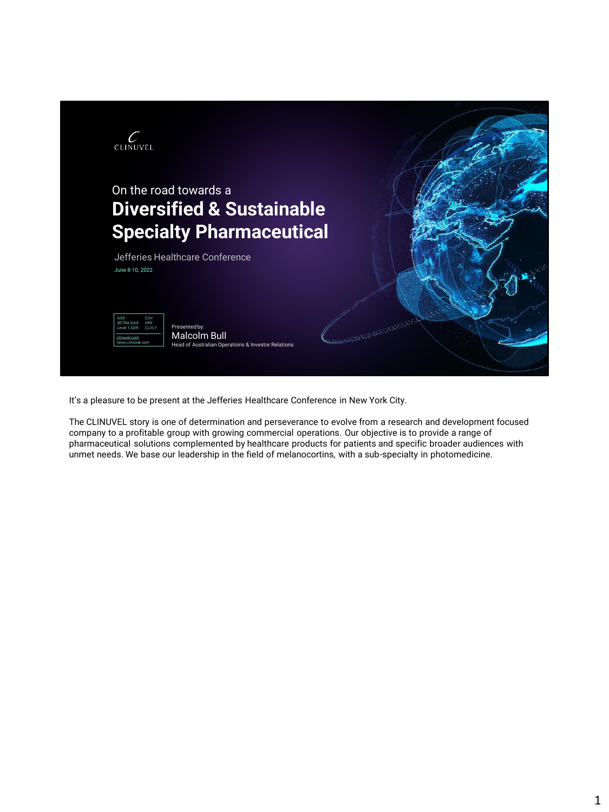

It's a pleasure to be present at the Jefferies Healthcare Conference in New York City.

The CLINUVEL story is one of determination and perseverance to evolve from a research and development focused company to a profitable group with growing commercial operations. Our objective is to provide a range of pharmaceutical solutions complemented by healthcare products for patients and specific broader audiences with unmet needs. We base our leadership in the field of melanocortins, with a sub-specialty in photomedicine.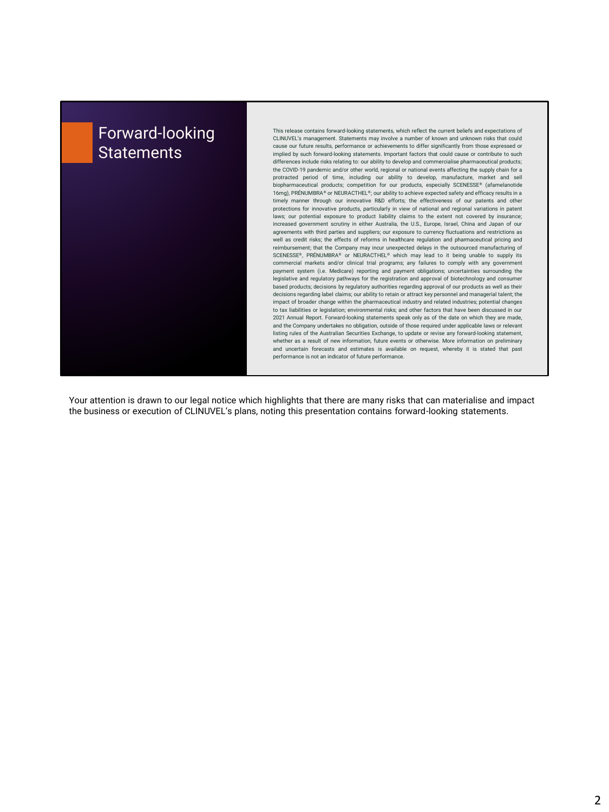

Your attention is drawn to our legal notice which highlights that there are many risks that can materialise and impact the business or execution of CLINUVEL's plans, noting this presentation contains forward-looking statements.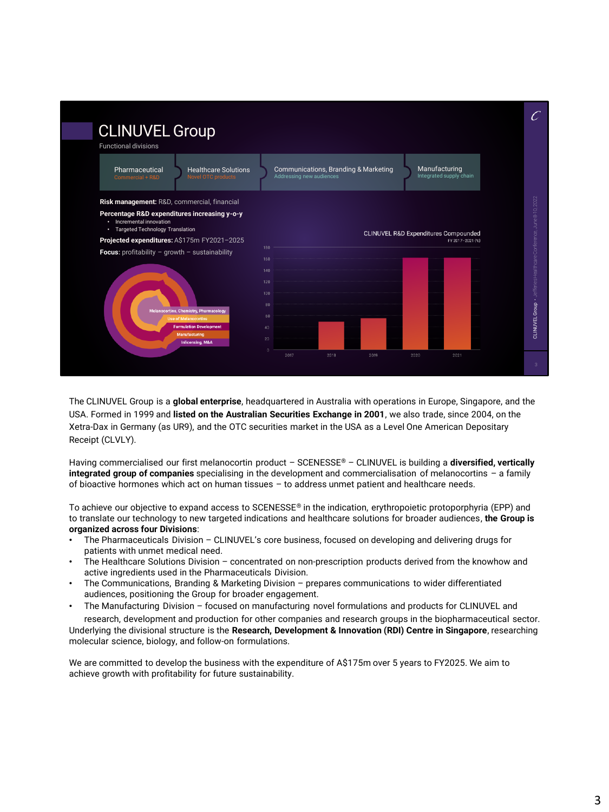

The CLINUVEL Group is a **global enterprise**, headquartered in Australia with operations in Europe, Singapore, and the USA. Formed in 1999 and **listed on the Australian Securities Exchange in 2001**, we also trade, since 2004, on the Xetra-Dax in Germany (as UR9), and the OTC securities market in the USA as a Level One American Depositary Receipt (CLVLY).

Having commercialised our first melanocortin product – SCENESSE® – CLINUVEL is building a **diversified, vertically integrated group of companies** specialising in the development and commercialisation of melanocortins – a family of bioactive hormones which act on human tissues – to address unmet patient and healthcare needs.

To achieve our objective to expand access to SCENESSE® in the indication, erythropoietic protoporphyria (EPP) and to translate our technology to new targeted indications and healthcare solutions for broader audiences, **the Group is organized across four Divisions**:

- The Pharmaceuticals Division CLINUVEL's core business, focused on developing and delivering drugs for patients with unmet medical need.
- The Healthcare Solutions Division concentrated on non-prescription products derived from the knowhow and active ingredients used in the Pharmaceuticals Division.
- The Communications, Branding & Marketing Division prepares communications to wider differentiated audiences, positioning the Group for broader engagement.
- The Manufacturing Division focused on manufacturing novel formulations and products for CLINUVEL and

research, development and production for other companies and research groups in the biopharmaceutical sector. Underlying the divisional structure is the **Research, Development & Innovation (RDI) Centre in Singapore**, researching molecular science, biology, and follow-on formulations.

We are committed to develop the business with the expenditure of A\$175m over 5 years to FY2025. We aim to achieve growth with profitability for future sustainability.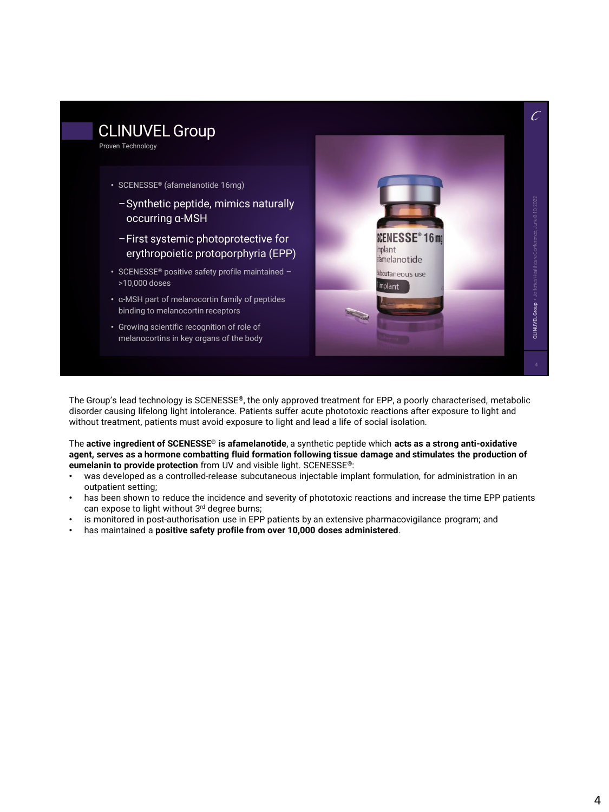

The Group's lead technology is SCENESSE<sup>®</sup>, the only approved treatment for EPP, a poorly characterised, metabolic disorder causing lifelong light intolerance. Patients suffer acute phototoxic reactions after exposure to light and without treatment, patients must avoid exposure to light and lead a life of social isolation.

The **active ingredient of SCENESSE® is afamelanotide**, a synthetic peptide which **acts as a strong anti-oxidative agent, serves as a hormone combatting fluid formation following tissue damage and stimulates the production of eumelanin to provide protection** from UV and visible light. SCENESSE®:

- was developed as a controlled-release subcutaneous injectable implant formulation, for administration in an outpatient setting;
- has been shown to reduce the incidence and severity of phototoxic reactions and increase the time EPP patients can expose to light without 3rd degree burns;
- is monitored in post-authorisation use in EPP patients by an extensive pharmacovigilance program; and
- has maintained a **positive safety profile from over 10,000 doses administered**.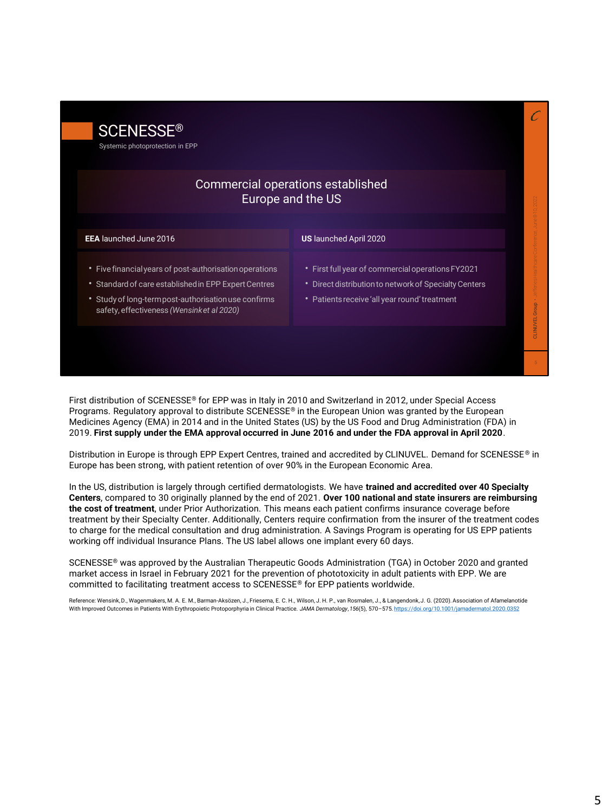| <b>SCENESSE®</b><br>Systemic photoprotection in EPP                                                                                                                                                                 |                                                                                                                                                                |  |
|---------------------------------------------------------------------------------------------------------------------------------------------------------------------------------------------------------------------|----------------------------------------------------------------------------------------------------------------------------------------------------------------|--|
|                                                                                                                                                                                                                     | Commercial operations established<br>Europe and the US                                                                                                         |  |
| <b>EEA</b> launched June 2016                                                                                                                                                                                       | <b>US</b> launched April 2020                                                                                                                                  |  |
| • Five financial years of post-authorisation operations<br>• Standard of care established in EPP Expert Centres<br>* Study of long-termpost-authorisation use confirms<br>safety, effectiveness (Wensinket al 2020) | • First full year of commercial operations FY2021<br>Direct distribution to network of Specialty Centers<br>٠<br>• Patients receive 'all year round' treatment |  |

First distribution of SCENESSE® for EPP was in Italy in 2010 and Switzerland in 2012, under Special Access Programs. Regulatory approval to distribute SCENESSE® in the European Union was granted by the European Medicines Agency (EMA) in 2014 and in the United States (US) by the US Food and Drug Administration (FDA) in 2019. **First supply under the EMA approval occurred in June 2016 and under the FDA approval in April 2020**.

Distribution in Europe is through EPP Expert Centres, trained and accredited by CLINUVEL. Demand for SCENESSE® in Europe has been strong, with patient retention of over 90% in the European Economic Area.

In the US, distribution is largely through certified dermatologists. We have **trained and accredited over 40 Specialty Centers**, compared to 30 originally planned by the end of 2021. **Over 100 national and state insurers are reimbursing the cost of treatment**, under Prior Authorization. This means each patient confirms insurance coverage before treatment by their Specialty Center. Additionally, Centers require confirmation from the insurer of the treatment codes to charge for the medical consultation and drug administration. A Savings Program is operating for US EPP patients working off individual Insurance Plans. The US label allows one implant every 60 days.

SCENESSE® was approved by the Australian Therapeutic Goods Administration (TGA) in October 2020 and granted market access in Israel in February 2021 for the prevention of phototoxicity in adult patients with EPP. We are committed to facilitating treatment access to SCENESSE® for EPP patients worldwide.

Reference: Wensink, D., Wagenmakers, M. A. E. M., Barman-Aksözen, J., Friesema, E. C. H., Wilson, J. H. P., van Rosmalen, J., & Langendonk, J. G. (2020). Association of Afamelanotide With Improved Outcomes in Patients With Erythropoietic Protoporphyria in Clinical Practice. *JAMA Dermatology*, *156*(5), 570–575. https://doi.org/10.1001/jamadermatol.2020.0352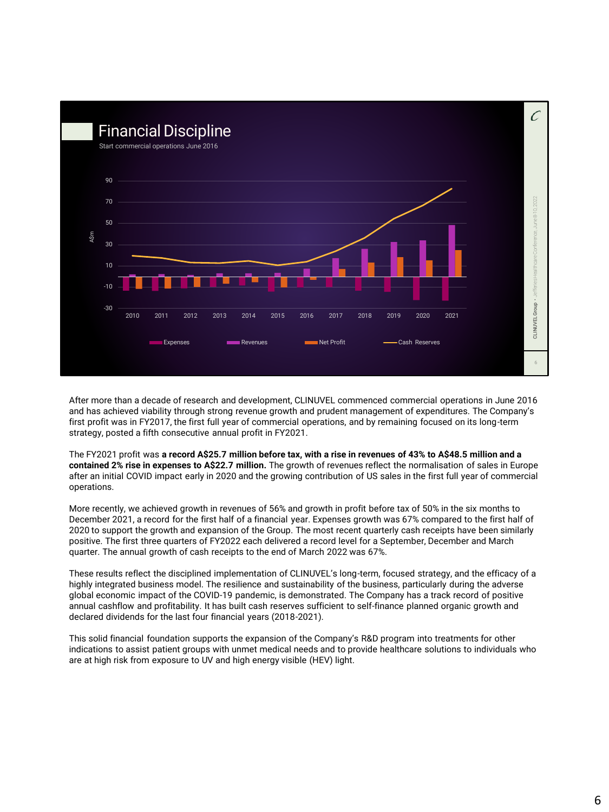

After more than a decade of research and development, CLINUVEL commenced commercial operations in June 2016 and has achieved viability through strong revenue growth and prudent management of expenditures. The Company's first profit was in FY2017, the first full year of commercial operations, and by remaining focused on its long-term strategy, posted a fifth consecutive annual profit in FY2021.

The FY2021 profit was **a record A\$25.7 million before tax, with a rise in revenues of 43% to A\$48.5 million and a contained 2% rise in expenses to A\$22.7 million.** The growth of revenues reflect the normalisation of sales in Europe after an initial COVID impact early in 2020 and the growing contribution of US sales in the first full year of commercial operations.

More recently, we achieved growth in revenues of 56% and growth in profit before tax of 50% in the six months to December 2021, a record for the first half of a financial year. Expenses growth was 67% compared to the first half of 2020 to support the growth and expansion of the Group. The most recent quarterly cash receipts have been similarly positive. The first three quarters of FY2022 each delivered a record level for a September, December and March quarter. The annual growth of cash receipts to the end of March 2022 was 67%.

These results reflect the disciplined implementation of CLINUVEL's long-term, focused strategy, and the efficacy of a highly integrated business model. The resilience and sustainability of the business, particularly during the adverse global economic impact of the COVID-19 pandemic, is demonstrated. The Company has a track record of positive annual cashflow and profitability. It has built cash reserves sufficient to self-finance planned organic growth and declared dividends for the last four financial years (2018-2021).

This solid financial foundation supports the expansion of the Company's R&D program into treatments for other indications to assist patient groups with unmet medical needs and to provide healthcare solutions to individuals who are at high risk from exposure to UV and high energy visible (HEV) light.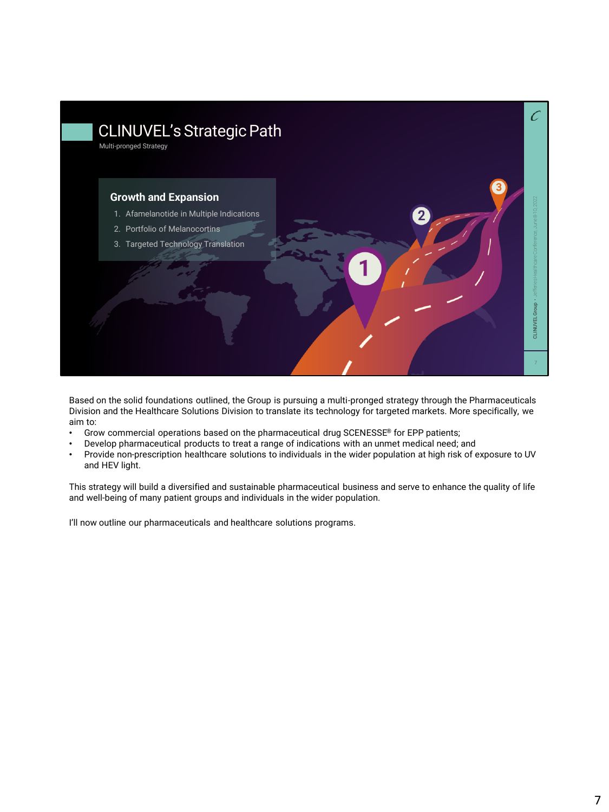

Based on the solid foundations outlined, the Group is pursuing a multi-pronged strategy through the Pharmaceuticals Division and the Healthcare Solutions Division to translate its technology for targeted markets. More specifically, we aim to:

- Grow commercial operations based on the pharmaceutical drug SCENESSE® for EPP patients;
- Develop pharmaceutical products to treat a range of indications with an unmet medical need; and
- Provide non-prescription healthcare solutions to individuals in the wider population at high risk of exposure to UV and HEV light.

This strategy will build a diversified and sustainable pharmaceutical business and serve to enhance the quality of life and well-being of many patient groups and individuals in the wider population.

I'll now outline our pharmaceuticals and healthcare solutions programs.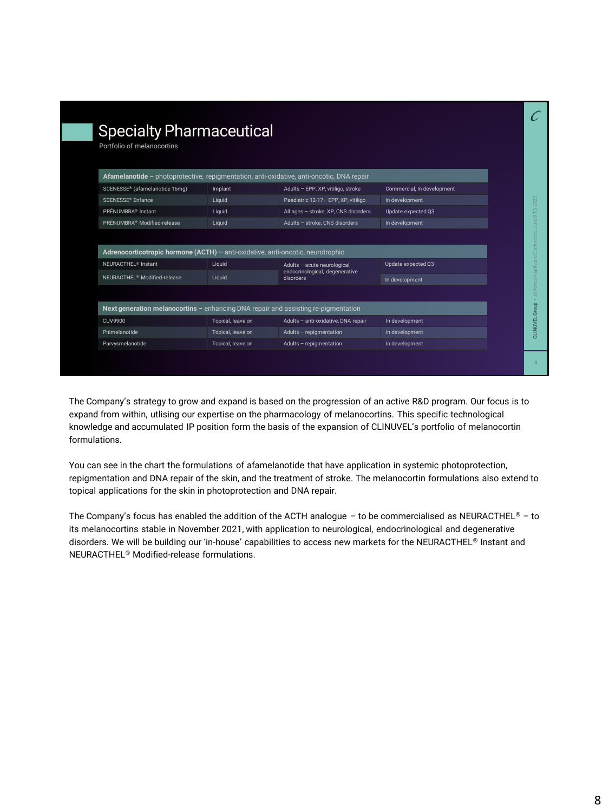| <b>Specialty Pharmaceutical</b>                                                           |                   |                                                                             |                            |  |  |  |
|-------------------------------------------------------------------------------------------|-------------------|-----------------------------------------------------------------------------|----------------------------|--|--|--|
| Portfolio of melanocortins                                                                |                   |                                                                             |                            |  |  |  |
|                                                                                           |                   |                                                                             |                            |  |  |  |
| Afamelanotide - photoprotective, repigmentation, anti-oxidative, anti-oncotic, DNA repair |                   |                                                                             |                            |  |  |  |
| SCENESSE® (afamelanotide 16mg)                                                            | Implant           | Adults - EPP, XP, vitiligo, stroke                                          | Commercial, In development |  |  |  |
| SCENESSE <sup>®</sup> Enfance                                                             | Liquid            | Paediatric 12-17- EPP, XP, vitiligo                                         | In development             |  |  |  |
| PRÉNUMBRA <sup>®</sup> Instant                                                            | Liquid            | All ages - stroke, XP, CNS disorders                                        | Update expected Q3         |  |  |  |
| PRÉNUMBRA <sup>®</sup> Modified-release                                                   | Liquid            | Adults - stroke, CNS disorders                                              | In development             |  |  |  |
|                                                                                           |                   |                                                                             |                            |  |  |  |
| Adrenocorticotropic hormone (ACTH) - anti-oxidative, anti-oncotic, neurotrophic           |                   |                                                                             |                            |  |  |  |
| NEURACTHEL <sup>®</sup> Instant                                                           | Liquid            | Adults - acute neurological,<br>endocrinological, degenerative<br>disorders | Update expected Q3         |  |  |  |
| NEURACTHEL <sup>®</sup> Modified-release                                                  | Liquid            |                                                                             | In development             |  |  |  |
|                                                                                           |                   |                                                                             |                            |  |  |  |
| Next generation melanocortins - enhancing DNA repair and assisting re-pigmentation        |                   |                                                                             |                            |  |  |  |
| <b>CUV9900</b>                                                                            | Topical, leave on | Adults - anti-oxidative, DNA repair                                         | In development             |  |  |  |
| Phimelanotide                                                                             | Topical, leave on | Adults - repigmentation                                                     | In development             |  |  |  |
| Parvysmelanotide                                                                          | Topical, leave on | Adults - repigmentation                                                     | In development             |  |  |  |

The Company's strategy to grow and expand is based on the progression of an active R&D program. Our focus is to expand from within, utlising our expertise on the pharmacology of melanocortins. This specific technological knowledge and accumulated IP position form the basis of the expansion of CLINUVEL's portfolio of melanocortin formulations.

You can see in the chart the formulations of afamelanotide that have application in systemic photoprotection, repigmentation and DNA repair of the skin, and the treatment of stroke. The melanocortin formulations also extend to topical applications for the skin in photoprotection and DNA repair.

The Company's focus has enabled the addition of the ACTH analogue – to be commercialised as NEURACTHEL® – to its melanocortins stable in November 2021, with application to neurological, endocrinological and degenerative disorders. We will be building our 'in-house' capabilities to access new markets for the NEURACTHEL® Instant and NEURACTHEL® Modified-release formulations.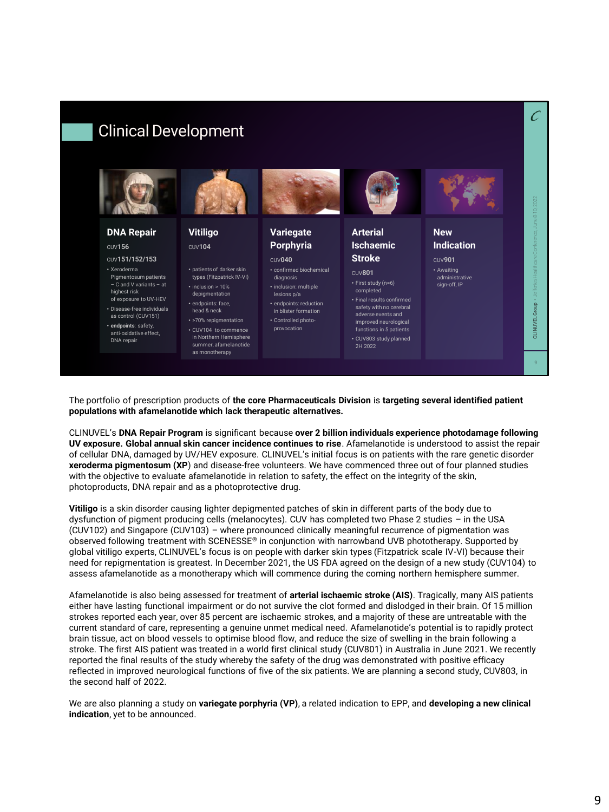

The portfolio of prescription products of **the core Pharmaceuticals Division** is **targeting several identified patient populations with afamelanotide which lack therapeutic alternatives.** 

CLINUVEL's **DNA Repair Program** is significant because **over 2 billion individuals experience photodamage following UV exposure. Global annual skin cancer incidence continues to rise**. Afamelanotide is understood to assist the repair of cellular DNA, damaged by UV/HEV exposure. CLINUVEL's initial focus is on patients with the rare genetic disorder **xeroderma pigmentosum (XP**) and disease-free volunteers. We have commenced three out of four planned studies with the objective to evaluate afamelanotide in relation to safety, the effect on the integrity of the skin, photoproducts, DNA repair and as a photoprotective drug.

**Vitiligo** is a skin disorder causing lighter depigmented patches of skin in different parts of the body due to dysfunction of pigment producing cells (melanocytes). CUV has completed two Phase 2 studies – in the USA (CUV102) and Singapore (CUV103) – where pronounced clinically meaningful recurrence of pigmentation was observed following treatment with SCENESSE® in conjunction with narrowband UVB phototherapy. Supported by global vitiligo experts, CLINUVEL's focus is on people with darker skin types (Fitzpatrick scale IV-VI) because their need for repigmentation is greatest. In December 2021, the US FDA agreed on the design of a new study (CUV104) to assess afamelanotide as a monotherapy which will commence during the coming northern hemisphere summer.

Afamelanotide is also being assessed for treatment of **arterial ischaemic stroke (AIS)**. Tragically, many AIS patients either have lasting functional impairment or do not survive the clot formed and dislodged in their brain. Of 15 million strokes reported each year, over 85 percent are ischaemic strokes, and a majority of these are untreatable with the current standard of care, representing a genuine unmet medical need. Afamelanotide's potential is to rapidly protect brain tissue, act on blood vessels to optimise blood flow, and reduce the size of swelling in the brain following a stroke. The first AIS patient was treated in a world first clinical study (CUV801) in Australia in June 2021. We recently reported the final results of the study whereby the safety of the drug was demonstrated with positive efficacy reflected in improved neurological functions of five of the six patients. We are planning a second study, CUV803, in the second half of 2022.

We are also planning a study on **variegate porphyria (VP)**, a related indication to EPP, and **developing a new clinical indication**, yet to be announced.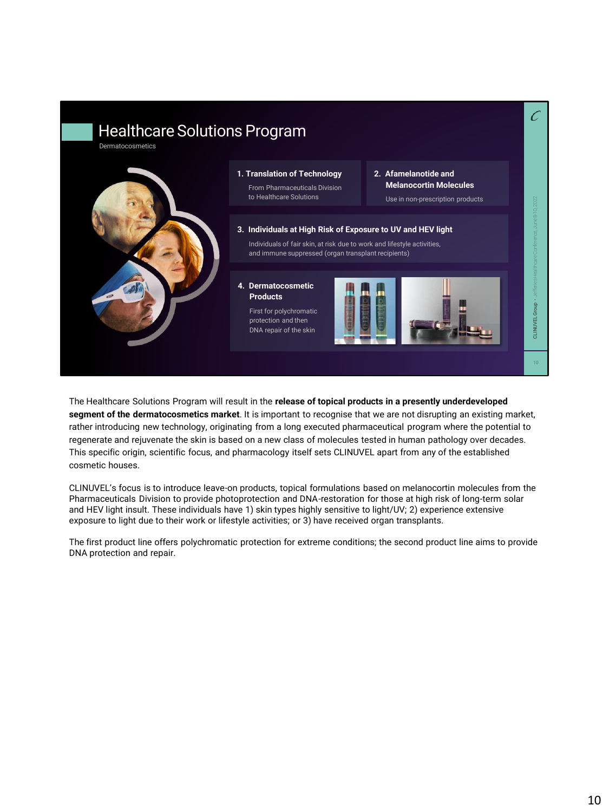

The Healthcare Solutions Program will result in the **release of topical products in a presently underdeveloped segment of the dermatocosmetics market**. It is important to recognise that we are not disrupting an existing market, rather introducing new technology, originating from a long executed pharmaceutical program where the potential to regenerate and rejuvenate the skin is based on a new class of molecules tested in human pathology over decades. This specific origin, scientific focus, and pharmacology itself sets CLINUVEL apart from any of the established cosmetic houses.

CLINUVEL's focus is to introduce leave-on products, topical formulations based on melanocortin molecules from the Pharmaceuticals Division to provide photoprotection and DNA-restoration for those at high risk of long-term solar and HEV light insult. These individuals have 1) skin types highly sensitive to light/UV; 2) experience extensive exposure to light due to their work or lifestyle activities; or 3) have received organ transplants.

The first product line offers polychromatic protection for extreme conditions; the second product line aims to provide DNA protection and repair.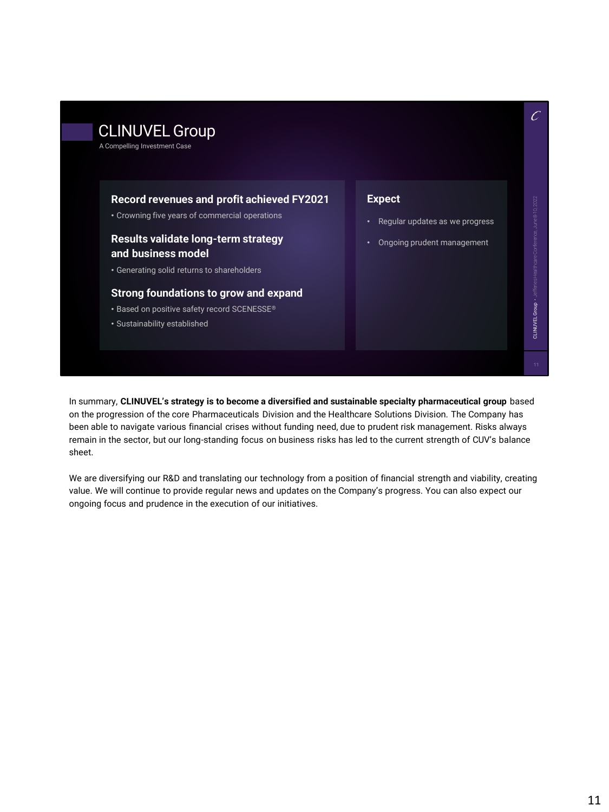# CLINUVEL Group

A Compelling Investment Case

#### **Record revenues and profit achieved FY2021**

• Crowning five years of commercial operations

## **Results validate long-term strategy and business model**

• Generating solid returns to shareholders

## **Strong foundations to grow and expand**

- Based on positive safety record SCENESSE®
- Sustainability established

### **Expect**

- Regular updates as we progress
- Ongoing prudent management

CLINUVEL Group • Jefferies Healthcare Conference, June 8-10, 2022

CLINUVEL Group . Jefferies Healthcare Conference,

 $\mathcal{C}$ 

In summary, **CLINUVEL's strategy is to become a diversified and sustainable specialty pharmaceutical group** based on the progression of the core Pharmaceuticals Division and the Healthcare Solutions Division. The Company has been able to navigate various financial crises without funding need, due to prudent risk management. Risks always remain in the sector, but our long-standing focus on business risks has led to the current strength of CUV's balance sheet.

We are diversifying our R&D and translating our technology from a position of financial strength and viability, creating value. We will continue to provide regular news and updates on the Company's progress. You can also expect our ongoing focus and prudence in the execution of our initiatives.